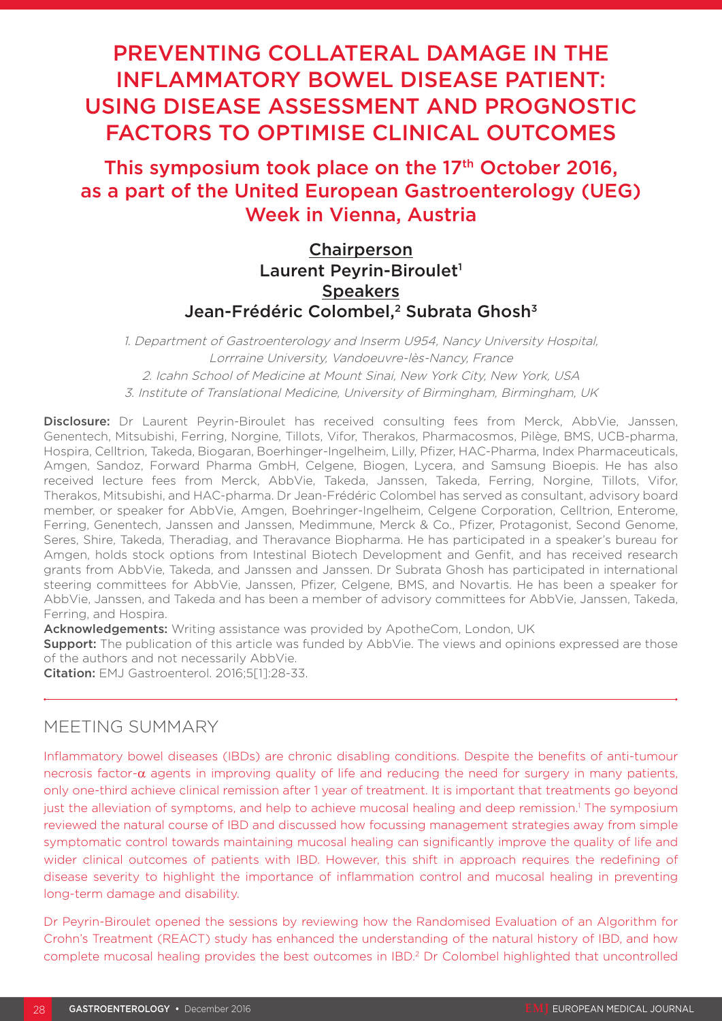# PREVENTING COLLATERAL DAMAGE IN THE INFLAMMATORY BOWEL DISEASE PATIENT: USING DISEASE ASSESSMENT AND PROGNOSTIC FACTORS TO OPTIMISE CLINICAL OUTCOMES

## This symposium took place on the 17<sup>th</sup> October 2016, as a part of the United European Gastroenterology (UEG) Week in Vienna, Austria

## **Chairperson** Laurent Peyrin-Biroulet<sup>1</sup> **Speakers** Jean-Frédéric Colombel,<sup>2</sup> Subrata Ghosh<sup>3</sup>

1. Department of Gastroenterology and Inserm U954, Nancy University Hospital, Lorrraine University, Vandoeuvre-lès-Nancy, France 2. Icahn School of Medicine at Mount Sinai, New York City, New York, USA 3. Institute of Translational Medicine, University of Birmingham, Birmingham, UK

Disclosure: Dr Laurent Peyrin-Biroulet has received consulting fees from Merck, AbbVie, Janssen, Genentech, Mitsubishi, Ferring, Norgine, Tillots, Vifor, Therakos, Pharmacosmos, Pilège, BMS, UCB-pharma, Hospira, Celltrion, Takeda, Biogaran, Boerhinger-Ingelheim, Lilly, Pfizer, HAC-Pharma, Index Pharmaceuticals, Amgen, Sandoz, Forward Pharma GmbH, Celgene, Biogen, Lycera, and Samsung Bioepis. He has also received lecture fees from Merck, AbbVie, Takeda, Janssen, Takeda, Ferring, Norgine, Tillots, Vifor, Therakos, Mitsubishi, and HAC-pharma. Dr Jean-Frédéric Colombel has served as consultant, advisory board member, or speaker for AbbVie, Amgen, Boehringer-Ingelheim, Celgene Corporation, Celltrion, Enterome, Ferring, Genentech, Janssen and Janssen, Medimmune, Merck & Co., Pfizer, Protagonist, Second Genome, Seres, Shire, Takeda, Theradiag, and Theravance Biopharma. He has participated in a speaker's bureau for Amgen, holds stock options from Intestinal Biotech Development and Genfit, and has received research grants from AbbVie, Takeda, and Janssen and Janssen. Dr Subrata Ghosh has participated in international steering committees for AbbVie, Janssen, Pfizer, Celgene, BMS, and Novartis. He has been a speaker for AbbVie, Janssen, and Takeda and has been a member of advisory committees for AbbVie, Janssen, Takeda, Ferring, and Hospira.

Acknowledgements: Writing assistance was provided by ApotheCom, London, UK

**Support:** The publication of this article was funded by AbbVie. The views and opinions expressed are those of the authors and not necessarily AbbVie.

Citation: EMJ Gastroenterol. 2016;5[1]:28-33.

## MEETING SUMMARY

Inflammatory bowel diseases (IBDs) are chronic disabling conditions. Despite the benefits of anti-tumour necrosis factor- $\alpha$  agents in improving quality of life and reducing the need for surgery in many patients, only one-third achieve clinical remission after 1 year of treatment. It is important that treatments go beyond just the alleviation of symptoms, and help to achieve mucosal healing and deep remission.<sup>1</sup> The symposium reviewed the natural course of IBD and discussed how focussing management strategies away from simple symptomatic control towards maintaining mucosal healing can significantly improve the quality of life and wider clinical outcomes of patients with IBD. However, this shift in approach requires the redefining of disease severity to highlight the importance of inflammation control and mucosal healing in preventing long-term damage and disability.

Dr Peyrin-Biroulet opened the sessions by reviewing how the Randomised Evaluation of an Algorithm for Crohn's Treatment (REACT) study has enhanced the understanding of the natural history of IBD, and how complete mucosal healing provides the best outcomes in IBD.2 Dr Colombel highlighted that uncontrolled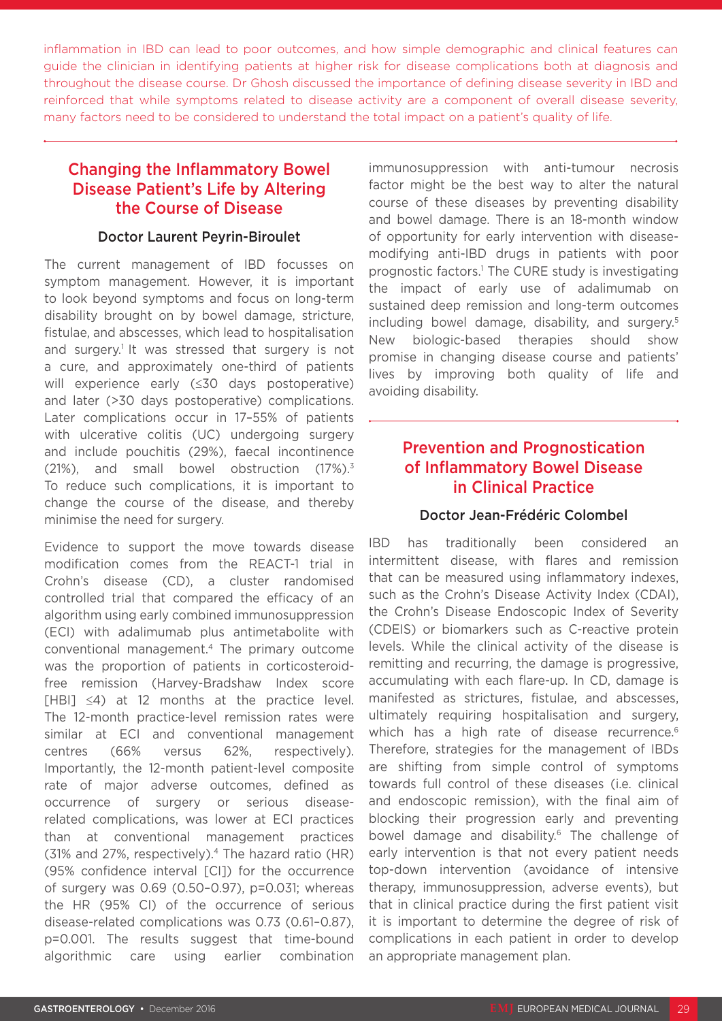inflammation in IBD can lead to poor outcomes, and how simple demographic and clinical features can guide the clinician in identifying patients at higher risk for disease complications both at diagnosis and throughout the disease course. Dr Ghosh discussed the importance of defining disease severity in IBD and reinforced that while symptoms related to disease activity are a component of overall disease severity, many factors need to be considered to understand the total impact on a patient's quality of life.

## Changing the Inflammatory Bowel Disease Patient's Life by Altering the Course of Disease

#### Doctor Laurent Peyrin-Biroulet

The current management of IBD focusses on symptom management. However, it is important to look beyond symptoms and focus on long-term disability brought on by bowel damage, stricture, fistulae, and abscesses, which lead to hospitalisation and surgery.<sup>1</sup> It was stressed that surgery is not a cure, and approximately one-third of patients will experience early (≤30 days postoperative) and later (>30 days postoperative) complications. Later complications occur in 17–55% of patients with ulcerative colitis (UC) undergoing surgery and include pouchitis (29%), faecal incontinence (21%), and small bowel obstruction (17%).3 To reduce such complications, it is important to change the course of the disease, and thereby minimise the need for surgery.

Evidence to support the move towards disease modification comes from the REACT-1 trial in Crohn's disease (CD), a cluster randomised controlled trial that compared the efficacy of an algorithm using early combined immunosuppression (ECI) with adalimumab plus antimetabolite with conventional management.4 The primary outcome was the proportion of patients in corticosteroidfree remission (Harvey-Bradshaw Index score  $[HBI] \leq 4$ ) at 12 months at the practice level. The 12-month practice-level remission rates were similar at ECI and conventional management centres (66% versus 62%, respectively). Importantly, the 12-month patient-level composite rate of major adverse outcomes, defined as occurrence of surgery or serious diseaserelated complications, was lower at ECI practices than at conventional management practices (31% and 27%, respectively).<sup>4</sup> The hazard ratio (HR) (95% confidence interval [CI]) for the occurrence of surgery was 0.69 (0.50–0.97), p=0.031; whereas the HR (95% CI) of the occurrence of serious disease-related complications was 0.73 (0.61–0.87), p=0.001. The results suggest that time-bound algorithmic care using earlier combination

immunosuppression with anti-tumour necrosis factor might be the best way to alter the natural course of these diseases by preventing disability and bowel damage. There is an 18-month window of opportunity for early intervention with diseasemodifying anti-IBD drugs in patients with poor prognostic factors.<sup>1</sup> The CURE study is investigating the impact of early use of adalimumab on sustained deep remission and long-term outcomes including bowel damage, disability, and surgery.5 New biologic-based therapies should show promise in changing disease course and patients' lives by improving both quality of life and avoiding disability.

## Prevention and Prognostication of Inflammatory Bowel Disease in Clinical Practice

#### Doctor Jean-Frédéric Colombel

IBD has traditionally been considered an intermittent disease, with flares and remission that can be measured using inflammatory indexes, such as the Crohn's Disease Activity Index (CDAI), the Crohn's Disease Endoscopic Index of Severity (CDEIS) or biomarkers such as C-reactive protein levels. While the clinical activity of the disease is remitting and recurring, the damage is progressive, accumulating with each flare-up. In CD, damage is manifested as strictures, fistulae, and abscesses, ultimately requiring hospitalisation and surgery, which has a high rate of disease recurrence.<sup>6</sup> Therefore, strategies for the management of IBDs are shifting from simple control of symptoms towards full control of these diseases (i.e. clinical and endoscopic remission), with the final aim of blocking their progression early and preventing bowel damage and disability.<sup>6</sup> The challenge of early intervention is that not every patient needs top-down intervention (avoidance of intensive therapy, immunosuppression, adverse events), but that in clinical practice during the first patient visit it is important to determine the degree of risk of complications in each patient in order to develop an appropriate management plan.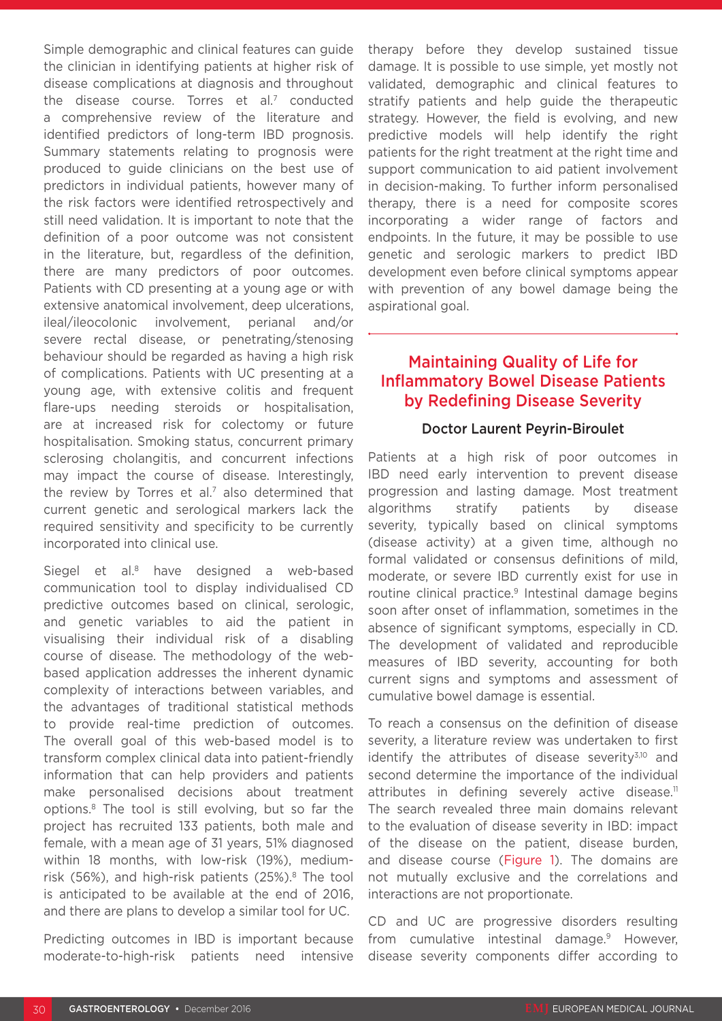Simple demographic and clinical features can guide the clinician in identifying patients at higher risk of disease complications at diagnosis and throughout the disease course. Torres et al.<sup>7</sup> conducted a comprehensive review of the literature and identified predictors of long-term IBD prognosis. Summary statements relating to prognosis were produced to guide clinicians on the best use of predictors in individual patients, however many of the risk factors were identified retrospectively and still need validation. It is important to note that the definition of a poor outcome was not consistent in the literature, but, regardless of the definition, there are many predictors of poor outcomes. Patients with CD presenting at a young age or with extensive anatomical involvement, deep ulcerations, ileal/ileocolonic involvement, perianal and/or severe rectal disease, or penetrating/stenosing behaviour should be regarded as having a high risk of complications. Patients with UC presenting at a young age, with extensive colitis and frequent flare-ups needing steroids or hospitalisation, are at increased risk for colectomy or future hospitalisation. Smoking status, concurrent primary sclerosing cholangitis, and concurrent infections may impact the course of disease. Interestingly, the review by Torres et al.<sup>7</sup> also determined that current genetic and serological markers lack the required sensitivity and specificity to be currently incorporated into clinical use.

Siegel et al.<sup>8</sup> have designed a web-based communication tool to display individualised CD predictive outcomes based on clinical, serologic, and genetic variables to aid the patient in visualising their individual risk of a disabling course of disease. The methodology of the webbased application addresses the inherent dynamic complexity of interactions between variables, and the advantages of traditional statistical methods to provide real-time prediction of outcomes. The overall goal of this web-based model is to transform complex clinical data into patient-friendly information that can help providers and patients make personalised decisions about treatment options.8 The tool is still evolving, but so far the project has recruited 133 patients, both male and female, with a mean age of 31 years, 51% diagnosed within 18 months, with low-risk (19%), mediumrisk (56%), and high-risk patients (25%).<sup>8</sup> The tool is anticipated to be available at the end of 2016, and there are plans to develop a similar tool for UC.

Predicting outcomes in IBD is important because moderate-to-high-risk patients need intensive therapy before they develop sustained tissue damage. It is possible to use simple, yet mostly not validated, demographic and clinical features to stratify patients and help guide the therapeutic strategy. However, the field is evolving, and new predictive models will help identify the right patients for the right treatment at the right time and support communication to aid patient involvement in decision-making. To further inform personalised therapy, there is a need for composite scores incorporating a wider range of factors and endpoints. In the future, it may be possible to use genetic and serologic markers to predict IBD development even before clinical symptoms appear with prevention of any bowel damage being the aspirational goal.

## Maintaining Quality of Life for Inflammatory Bowel Disease Patients by Redefining Disease Severity

#### Doctor Laurent Peyrin-Biroulet

Patients at a high risk of poor outcomes in IBD need early intervention to prevent disease progression and lasting damage. Most treatment algorithms stratify patients by disease severity, typically based on clinical symptoms (disease activity) at a given time, although no formal validated or consensus definitions of mild, moderate, or severe IBD currently exist for use in routine clinical practice.<sup>9</sup> Intestinal damage begins soon after onset of inflammation, sometimes in the absence of significant symptoms, especially in CD. The development of validated and reproducible measures of IBD severity, accounting for both current signs and symptoms and assessment of cumulative bowel damage is essential.

To reach a consensus on the definition of disease severity, a literature review was undertaken to first identify the attributes of disease severity $3,10$  and second determine the importance of the individual attributes in defining severely active disease.<sup>11</sup> The search revealed three main domains relevant to the evaluation of disease severity in IBD: impact of the disease on the patient, disease burden, and disease course (Figure 1). The domains are not mutually exclusive and the correlations and interactions are not proportionate.

CD and UC are progressive disorders resulting from cumulative intestinal damage.9 However, disease severity components differ according to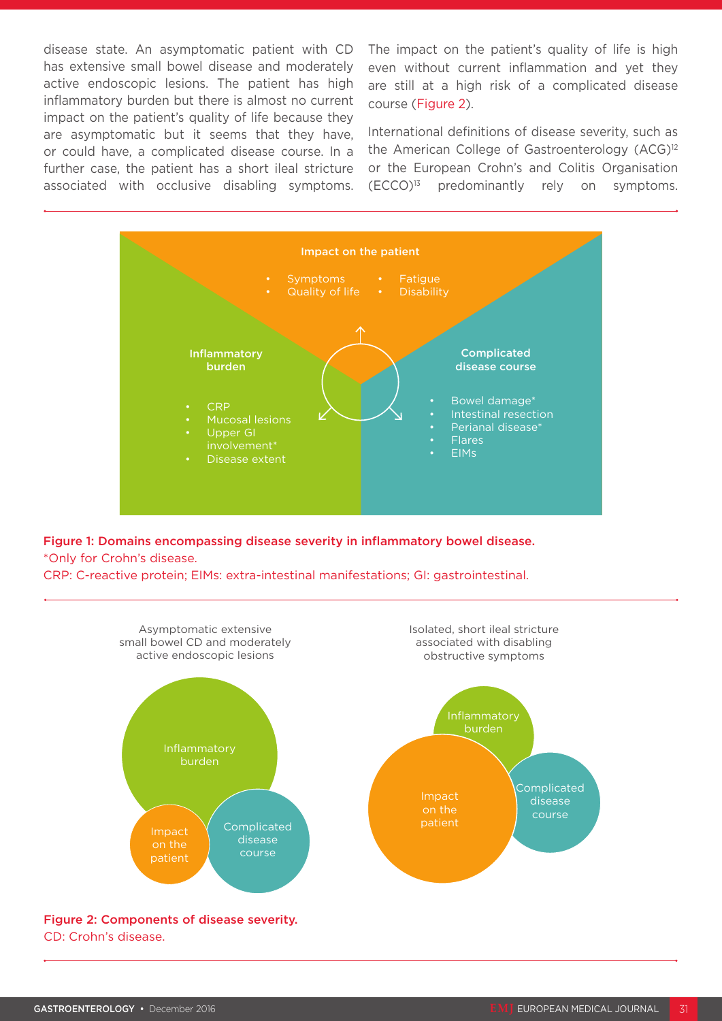disease state. An asymptomatic patient with CD has extensive small bowel disease and moderately active endoscopic lesions. The patient has high inflammatory burden but there is almost no current impact on the patient's quality of life because they are asymptomatic but it seems that they have, or could have, a complicated disease course. In a further case, the patient has a short ileal stricture associated with occlusive disabling symptoms. The impact on the patient's quality of life is high even without current inflammation and yet they are still at a high risk of a complicated disease course (Figure 2).

International definitions of disease severity, such as the American College of Gastroenterology (ACG)<sup>12</sup> or the European Crohn's and Colitis Organisation  $(ECCO)^{13}$  predominantly rely on symptoms.



Figure 1: Domains encompassing disease severity in inflammatory bowel disease. \*Only for Crohn's disease.

CRP: C-reactive protein; EIMs: extra-intestinal manifestations; GI: gastrointestinal.



CD: Crohn's disease.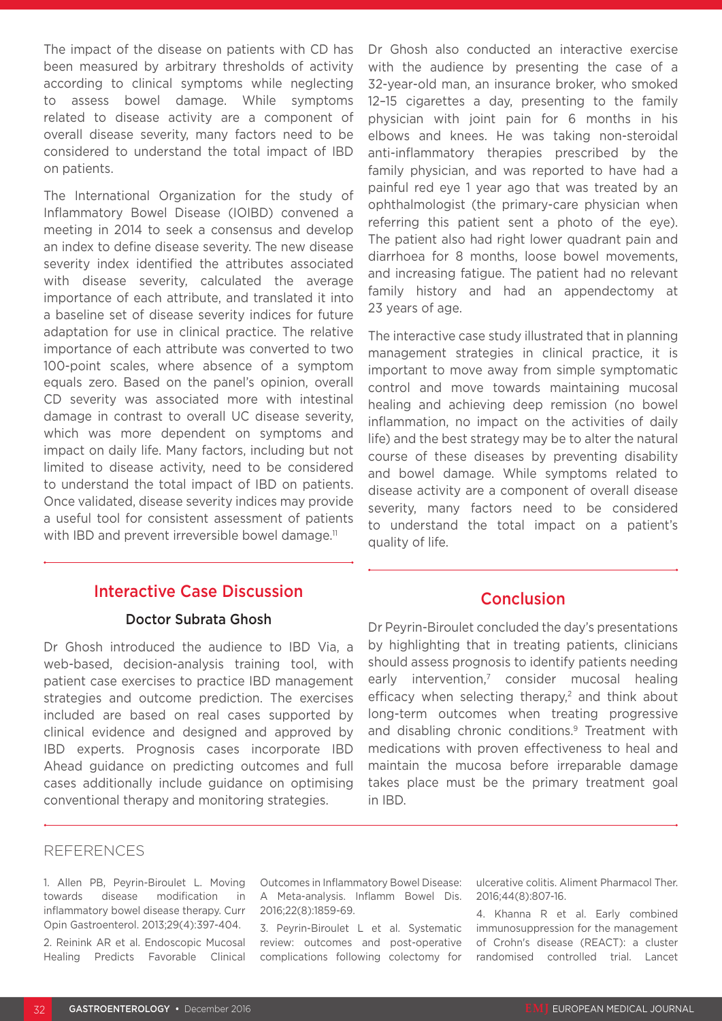The impact of the disease on patients with CD has been measured by arbitrary thresholds of activity according to clinical symptoms while neglecting to assess bowel damage. While symptoms related to disease activity are a component of overall disease severity, many factors need to be considered to understand the total impact of IBD on patients.

The International Organization for the study of Inflammatory Bowel Disease (IOIBD) convened a meeting in 2014 to seek a consensus and develop an index to define disease severity. The new disease severity index identified the attributes associated with disease severity, calculated the average importance of each attribute, and translated it into a baseline set of disease severity indices for future adaptation for use in clinical practice. The relative importance of each attribute was converted to two 100-point scales, where absence of a symptom equals zero. Based on the panel's opinion, overall CD severity was associated more with intestinal damage in contrast to overall UC disease severity, which was more dependent on symptoms and impact on daily life. Many factors, including but not limited to disease activity, need to be considered to understand the total impact of IBD on patients. Once validated, disease severity indices may provide a useful tool for consistent assessment of patients with IBD and prevent irreversible bowel damage.<sup>11</sup>

### Interactive Case Discussion

#### Doctor Subrata Ghosh

Dr Ghosh introduced the audience to IBD Via, a web-based, decision-analysis training tool, with patient case exercises to practice IBD management strategies and outcome prediction. The exercises included are based on real cases supported by clinical evidence and designed and approved by IBD experts. Prognosis cases incorporate IBD Ahead guidance on predicting outcomes and full cases additionally include guidance on optimising conventional therapy and monitoring strategies.

Dr Ghosh also conducted an interactive exercise with the audience by presenting the case of a 32-year-old man, an insurance broker, who smoked 12–15 cigarettes a day, presenting to the family physician with joint pain for 6 months in his elbows and knees. He was taking non-steroidal anti-inflammatory therapies prescribed by the family physician, and was reported to have had a painful red eye 1 year ago that was treated by an ophthalmologist (the primary-care physician when referring this patient sent a photo of the eye). The patient also had right lower quadrant pain and diarrhoea for 8 months, loose bowel movements, and increasing fatigue. The patient had no relevant family history and had an appendectomy at 23 years of age.

The interactive case study illustrated that in planning management strategies in clinical practice, it is important to move away from simple symptomatic control and move towards maintaining mucosal healing and achieving deep remission (no bowel inflammation, no impact on the activities of daily life) and the best strategy may be to alter the natural course of these diseases by preventing disability and bowel damage. While symptoms related to disease activity are a component of overall disease severity, many factors need to be considered to understand the total impact on a patient's quality of life.

#### Conclusion

Dr Peyrin-Biroulet concluded the day's presentations by highlighting that in treating patients, clinicians should assess prognosis to identify patients needing early intervention,<sup>7</sup> consider mucosal healing efficacy when selecting therapy, $2$  and think about long-term outcomes when treating progressive and disabling chronic conditions.<sup>9</sup> Treatment with medications with proven effectiveness to heal and maintain the mucosa before irreparable damage takes place must be the primary treatment goal in IBD.

#### REFERENCES

1. Allen PB, Peyrin-Biroulet L. Moving towards disease modification in inflammatory bowel disease therapy. Curr Opin Gastroenterol. 2013;29(4):397-404. 2. Reinink AR et al. Endoscopic Mucosal Healing Predicts Favorable Clinical

Outcomes in Inflammatory Bowel Disease: A Meta-analysis. Inflamm Bowel Dis. 2016;22(8):1859-69.

3. Peyrin-Biroulet L et al. Systematic review: outcomes and post-operative complications following colectomy for

ulcerative colitis. Aliment Pharmacol Ther. 2016;44(8):807-16.

4. Khanna R et al. Early combined immunosuppression for the management of Crohn's disease (REACT): a cluster randomised controlled trial. Lancet